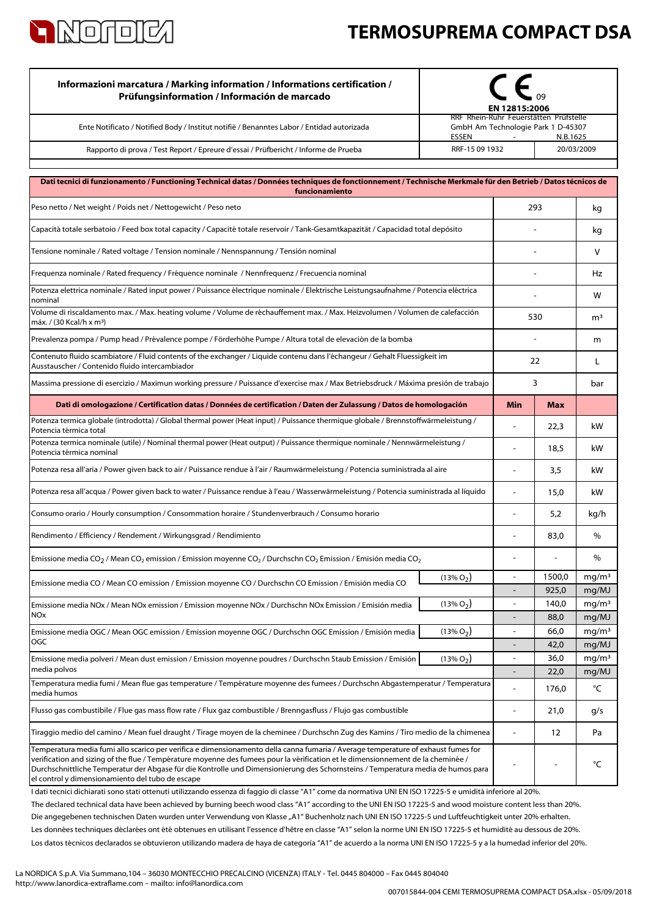

## **TERMOSUPREMA COMPACT DSA**

| Informazioni marcatura / Marking information / Informations certification /<br>Prüfungsinformation / Información de marcado                                                                                                                                                                                                                                                                                                                                   | EN 12815:2006                |                                                                                          |                |                            |
|---------------------------------------------------------------------------------------------------------------------------------------------------------------------------------------------------------------------------------------------------------------------------------------------------------------------------------------------------------------------------------------------------------------------------------------------------------------|------------------------------|------------------------------------------------------------------------------------------|----------------|----------------------------|
| Ente Notificato / Notified Body / Institut notifiè / Benanntes Labor / Entidad autorizada                                                                                                                                                                                                                                                                                                                                                                     | ESSEN                        | RRF Rhein-Ruhr Feuerstätten Prüfstelle<br>GmbH Am Technologie Park 1 D-45307<br>N.B.1625 |                |                            |
| Rapporto di prova / Test Report / Epreure d'essai / Prüfbericht / Informe de Prueba                                                                                                                                                                                                                                                                                                                                                                           | RRF-15 09 1932<br>20/03/2009 |                                                                                          |                |                            |
| Dati tecnici di funzionamento / Functioning Technical datas / Données techniques de fonctionnement / Technische Merkmale für den Betrieb / Datos técnicos de                                                                                                                                                                                                                                                                                                  |                              |                                                                                          |                |                            |
| funcionamiento                                                                                                                                                                                                                                                                                                                                                                                                                                                |                              |                                                                                          |                |                            |
| Peso netto / Net weight / Poids net / Nettogewicht / Peso neto                                                                                                                                                                                                                                                                                                                                                                                                | 293                          |                                                                                          | kg             |                            |
| Capacità totale serbatoio / Feed box total capacity / Capacité totale reservoir / Tank-Gesamtkapazität / Capacidad total depósito                                                                                                                                                                                                                                                                                                                             |                              |                                                                                          |                | kg                         |
| Tensione nominale / Rated voltage / Tension nominale / Nennspannung / Tensión nominal                                                                                                                                                                                                                                                                                                                                                                         |                              |                                                                                          |                | v                          |
| Frequenza nominale / Rated frequency / Fréquence nominale / Nennfrequenz / Frecuencia nominal                                                                                                                                                                                                                                                                                                                                                                 |                              |                                                                                          |                | Hz                         |
| Potenza elettrica nominale / Rated input power / Puissance électrique nominale / Elektrische Leistungsaufnahme / Potencia eléctrica<br>nominal                                                                                                                                                                                                                                                                                                                |                              |                                                                                          |                | w                          |
| Volume di riscaldamento max. / Max. heating volume / Volume de réchauffement max. / Max. Heizvolumen / Volumen de calefacción<br>máx. / (30 Kcal/h x m <sup>3</sup> )                                                                                                                                                                                                                                                                                         |                              | 530                                                                                      |                | m <sup>3</sup>             |
| Prevalenza pompa / Pump head / Prévalence pompe / Förderhöhe Pumpe / Altura total de elevaciòn de la bomba                                                                                                                                                                                                                                                                                                                                                    |                              |                                                                                          |                | m                          |
| Contenuto fluido scambiatore / Fluid contents of the exchanger / Liquide contenu dans l'échangeur / Gehalt Fluessigkeit im<br>Ausstauscher / Contenido fluido intercambiador                                                                                                                                                                                                                                                                                  |                              | 22                                                                                       |                | L                          |
| Massima pressione di esercizio / Maximun working pressure / Puissance d'exercise max / Max Betriebsdruck / Máxima presión de trabajo                                                                                                                                                                                                                                                                                                                          |                              | 3                                                                                        |                | bar                        |
| Dati di omologazione / Certification datas / Données de certification / Daten der Zulassung / Datos de homologación                                                                                                                                                                                                                                                                                                                                           |                              | Min                                                                                      | <b>Max</b>     |                            |
| Potenza termica globale (introdotta) / Global thermal power (Heat input) / Puissance thermique globale / Brennstoffwärmeleistung /<br>Potencia térmica total                                                                                                                                                                                                                                                                                                  |                              |                                                                                          | 22,3           | kW                         |
| Potenza termica nominale (utile) / Nominal thermal power (Heat output) / Puissance thermique nominale / Nennwärmeleistung /<br>Potencia térmica nominal                                                                                                                                                                                                                                                                                                       |                              |                                                                                          | 18,5           | kW                         |
| Potenza resa all'aria / Power given back to air / Puissance rendue à l'air / Raumwärmeleistung / Potencia suministrada al aire                                                                                                                                                                                                                                                                                                                                |                              |                                                                                          | 3,5            | kW                         |
| Potenza resa all'acqua / Power given back to water / Puissance rendue à l'eau / Wasserwärmeleistung / Potencia suministrada al líquido                                                                                                                                                                                                                                                                                                                        |                              |                                                                                          | 15,0           | kW                         |
| Consumo orario / Hourly consumption / Consommation horaire / Stundenverbrauch / Consumo horario                                                                                                                                                                                                                                                                                                                                                               |                              |                                                                                          | 5,2            | kg/h                       |
| Rendimento / Efficiency / Rendement / Wirkungsgrad / Rendimiento                                                                                                                                                                                                                                                                                                                                                                                              |                              | $\blacksquare$                                                                           | 83,0           | %                          |
| Emissione media CO <sub>2</sub> / Mean CO <sub>2</sub> emission / Emission moyenne CO <sub>2</sub> / Durchschn CO <sub>2</sub> Emission / Emisión media CO <sub>2</sub>                                                                                                                                                                                                                                                                                       |                              | $\overline{a}$                                                                           | $\blacksquare$ | %                          |
| $(13\% O2)$<br>Emissione media CO / Mean CO emission / Emission moyenne CO / Durchschn CO Emission / Emisión media CO                                                                                                                                                                                                                                                                                                                                         |                              |                                                                                          | 1500,0         | mg/m <sup>3</sup>          |
|                                                                                                                                                                                                                                                                                                                                                                                                                                                               |                              | $\overline{a}$                                                                           | 925,0<br>140,0 | mg/MJ<br>mq/m <sup>3</sup> |
| $(13\% O2)$<br>Emissione media NOx / Mean NOx emission / Emission moyenne NOx / Durchschn NOx Emission / Emisión media<br>NOx                                                                                                                                                                                                                                                                                                                                 |                              |                                                                                          | 88,0           | mg/MJ                      |
| $(13\% O_2)$<br>Emissione media OGC / Mean OGC emission / Emission moyenne OGC / Durchschn OGC Emission / Emisión media                                                                                                                                                                                                                                                                                                                                       |                              | $\overline{\phantom{a}}$                                                                 | 66,0           | mg/m <sup>3</sup>          |
| OGC                                                                                                                                                                                                                                                                                                                                                                                                                                                           |                              |                                                                                          | 42,0           | mg/MJ                      |
| $(13\% O_2)$<br>Emissione media polveri / Mean dust emission / Emission moyenne poudres / Durchschn Staub Emission / Emisión<br>media polvos                                                                                                                                                                                                                                                                                                                  |                              | $\overline{a}$                                                                           | 36,0           | mg/m <sup>3</sup>          |
| Temperatura media fumi / Mean flue gas temperature / Température moyenne des fumees / Durchschn Abgastemperatur / Temperatura                                                                                                                                                                                                                                                                                                                                 |                              |                                                                                          | 22,0<br>176,0  | mg/MJ<br>°C                |
| media humos<br>Flusso gas combustibile / Flue gas mass flow rate / Flux gaz combustible / Brenngasfluss / Flujo gas combustible                                                                                                                                                                                                                                                                                                                               |                              | $\overline{a}$                                                                           | 21,0           | g/s                        |
| Tiraggio medio del camino / Mean fuel draught / Tirage moyen de la cheminee / Durchschn Zug des Kamins / Tiro medio de la chimenea                                                                                                                                                                                                                                                                                                                            |                              | $\overline{a}$                                                                           | 12             | Pa                         |
| Temperatura media fumi allo scarico per verifica e dimensionamento della canna fumaria / Average temperature of exhaust fumes for<br>verification and sizing of the flue / Température moyenne des fumees pour la vérification et le dimensionnement de la cheminée /<br>Durchschnittliche Temperatur der Abgase für die Kontrolle und Dimensionierung des Schornsteins / Temperatura media de humos para<br>el control y dimensionamiento del tubo de escape |                              |                                                                                          |                | °C                         |

Los datos técnicos declarados se obtuvieron utilizando madera de haya de categoría "A1" de acuerdo a la norma UNI EN ISO 17225-5 y a la humedad inferior del 20%. Les données techniques déclarées ont été obtenues en utilisant l'essence d'hêtre en classe "A1" selon la norme UNI EN ISO 17225-5 et humidité au dessous de 20%. I dati tecnici dichiarati sono stati ottenuti utilizzando essenza di faggio di classe "A1" come da normativa UNI EN ISO 17225-5 e umidità inferiore al 20%. Die angegebenen technischen Daten wurden unter Verwendung von Klasse "A1" Buchenholz nach UNI EN ISO 17225-5 und Luftfeuchtigkeit unter 20% erhalten. The declared technical data have been achieved by burning beech wood class "A1" according to the UNI EN ISO 17225-5 and wood moisture content less than 20%.